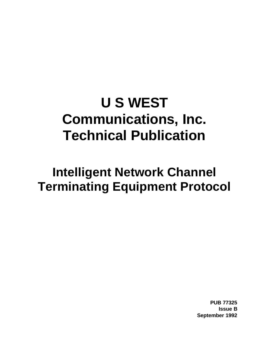# **U S WEST Communications, Inc. Technical Publication**

## **Intelligent Network Channel Terminating Equipment Protocol**

**PUB 77325 Issue B September 1992**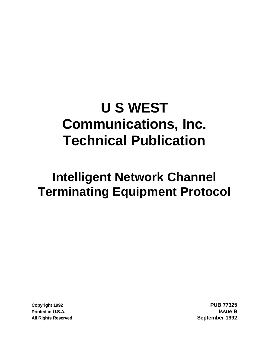# **U S WEST Communications, Inc. Technical Publication**

## **Intelligent Network Channel Terminating Equipment Protocol**

**Copyright 1992 PUB 77325 Printed in U.S.A. Issue B All Rights Reserved September 1992**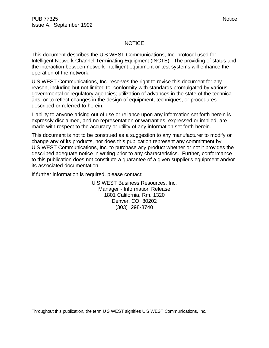#### NOTICE

This document describes the U S WEST Communications, Inc. protocol used for Intelligent Network Channel Terminating Equipment (INCTE). The providing of status and the interaction between network intelligent equipment or test systems will enhance the operation of the network.

U S WEST Communications, Inc. reserves the right to revise this document for any reason, including but not limited to, conformity with standards promulgated by various governmental or regulatory agencies; utilization of advances in the state of the technical arts; or to reflect changes in the design of equipment, techniques, or procedures described or referred to herein.

Liability to anyone arising out of use or reliance upon any information set forth herein is expressly disclaimed, and no representation or warranties, expressed or implied, are made with respect to the accuracy or utility of any information set forth herein.

This document is not to be construed as a suggestion to any manufacturer to modify or change any of its products, nor does this publication represent any commitment by U S WEST Communications, Inc. to purchase any product whether or not it provides the described adequate notice in writing prior to any characteristics. Further, conformance to this publication does not constitute a guarantee of a given supplier's equipment and/or its associated documentation.

If further information is required, please contact:

U S WEST Business Resources, Inc. Manager - Information Release 1801 California, Rm. 1320 Denver, CO 80202 (303) 298-8740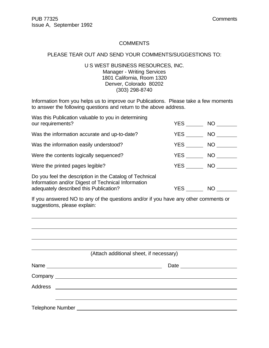#### **COMMENTS**

#### PLEASE TEAR OUT AND SEND YOUR COMMENTS/SUGGESTIONS TO:

#### U S WEST BUSINESS RESOURCES, INC. Manager - Writing Services 1801 California, Room 1320 Denver, Colorado 80202 (303) 298-8740

Information from you helps us to improve our Publications. Please take a few moments to answer the following questions and return to the above address.

| Was this Publication valuable to you in determining<br>our requirements?                                                                                | YES        | NO .      |  |
|---------------------------------------------------------------------------------------------------------------------------------------------------------|------------|-----------|--|
| Was the information accurate and up-to-date?                                                                                                            | YES        | NO        |  |
| Was the information easily understood?                                                                                                                  | YES        | NO        |  |
| Were the contents logically sequenced?                                                                                                                  | YES        | NO        |  |
| Were the printed pages legible?                                                                                                                         | <b>YES</b> | NO.       |  |
| Do you feel the description in the Catalog of Technical<br>Information and/or Digest of Technical Information<br>adequately described this Publication? | YES.       | <b>NO</b> |  |

If you answered NO to any of the questions and/or if you have any other comments or suggestions, please explain:

| (Attach additional sheet, if necessary)                                      |  |
|------------------------------------------------------------------------------|--|
|                                                                              |  |
|                                                                              |  |
|                                                                              |  |
|                                                                              |  |
| Telephone Number National According to the Contract of Telephone Number 2014 |  |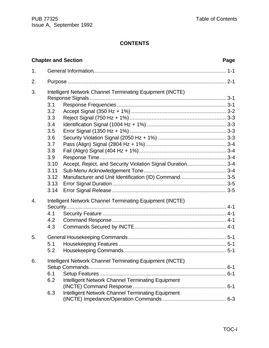## **CONTENTS**

|    |                                                                                     | <b>Chapter and Section</b>                                                                                                                                                       | Page |
|----|-------------------------------------------------------------------------------------|----------------------------------------------------------------------------------------------------------------------------------------------------------------------------------|------|
| 1. |                                                                                     |                                                                                                                                                                                  |      |
| 2. |                                                                                     |                                                                                                                                                                                  |      |
| 3. | 3.1<br>3.2<br>3.3<br>3.4<br>3.5<br>3.6<br>3.7<br>3.8<br>3.9<br>3.10<br>3.11<br>3.12 | Intelligent Network Channel Terminating Equipment (INCTE)<br>Accept, Reject, and Security Violation Signal Duration 3-4<br>Manufacturer and Unit Identification (ID) Command 3-5 |      |
| 4. | 3.13<br>3.14                                                                        | Intelligent Network Channel Terminating Equipment (INCTE)                                                                                                                        |      |
|    | 4.1<br>4.2<br>4.3                                                                   |                                                                                                                                                                                  |      |
| 5. | 5.1<br>5.2                                                                          |                                                                                                                                                                                  |      |
| 6. | 6.1<br>6.2<br>6.3                                                                   | Intelligent Network Channel Terminating Equipment (INCTE)<br>Intelligent Network Channel Terminating Equipment<br>Intelligent Network Channel Terminating Equipment              |      |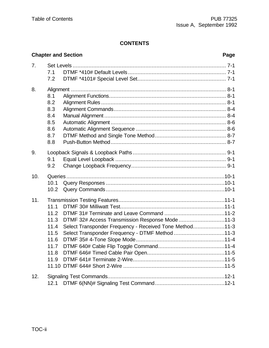## **CONTENTS**

|     |                                                                      | <b>Chapter and Section</b>                                                                                                                                   | Page |
|-----|----------------------------------------------------------------------|--------------------------------------------------------------------------------------------------------------------------------------------------------------|------|
| 7.  | 7.1                                                                  |                                                                                                                                                              |      |
|     | 7.2                                                                  |                                                                                                                                                              |      |
| 8.  | 8.1<br>8.2<br>8.3<br>8.4<br>8.5<br>8.6<br>8.7<br>8.8                 |                                                                                                                                                              |      |
| 9.  | 9.1<br>9.2                                                           |                                                                                                                                                              |      |
| 10. | 10.1<br>10.2                                                         |                                                                                                                                                              |      |
| 11. | 11.1<br>11.2<br>11.3<br>11.4<br>11.5<br>11.6<br>11.7<br>11.8<br>11.9 | DTMF 32# Access Transmission Response Mode11-3<br>Select Transponder Frequency - Received Tone Method11-3<br>Select Transponder Frequency - DTMF Method 11-3 |      |
| 12. | 12.1                                                                 |                                                                                                                                                              |      |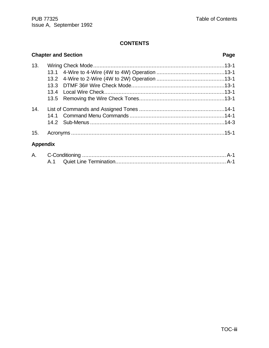## **CONTENTS**

## **Chapter and Section Page** 13. Wiring Check Mode...................................................................................13-1 13.1 4-Wire to 4-Wire (4W to 4W) Operation ...........................................13-1 13.2 4-Wire to 2-Wire (4W to 2W) Operation ...........................................13-1 13.3 DTMF 36# Wire Check Mode...........................................................13-1 13.4 Local Wire Check............................................................................13-1 13.5 Removing the Wire Check Tones......................................................13-1 14. List of Commands and Assigned Tones ......................................................14-1 14.1 Command Menu Commands ............................................................14-1 14.2 Sub-Menus .....................................................................................14-3 15. Acronyms .................................................................................................15-1 **Appendix**

| А. |  |  |
|----|--|--|
|    |  |  |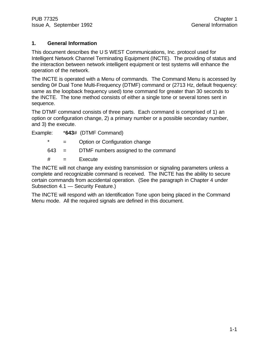## **1. General Information**

This document describes the U S WEST Communications, Inc. protocol used for Intelligent Network Channel Terminating Equipment (INCTE). The providing of status and the interaction between network intelligent equipment or test systems will enhance the operation of the network.

The INCTE is operated with a Menu of commands. The Command Menu is accessed by sending 0# Dual Tone Multi-Frequency (DTMF) command or (2713 Hz, default frequency: same as the loopback frequency used) tone command for greater than 30 seconds to the INCTE. The tone method consists of either a single tone or several tones sent in sequence.

The DTMF command consists of three parts. Each command is comprised of 1) an option or configuration change, 2) a primary number or a possible secondary number, and 3) the execute.

| Example: |  |  | *643# (DTMF Command) |
|----------|--|--|----------------------|
|----------|--|--|----------------------|

- \* = Option or Configuration change
- 643 = DTMF numbers assigned to the command
- $#$  = Execute

The INCTE will not change any existing transmission or signaling parameters unless a complete and recognizable command is received. The INCTE has the ability to secure certain commands from accidental operation. (See the paragraph in Chapter 4 under Subsection 4.1 — Security Feature.)

The INCTE will respond with an Identification Tone upon being placed in the Command Menu mode. All the required signals are defined in this document.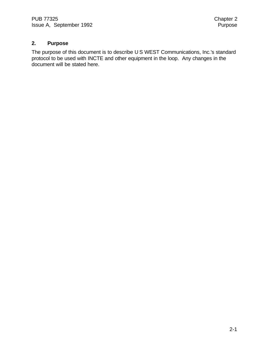## **2. Purpose**

The purpose of this document is to describe U S WEST Communications, Inc.'s standard protocol to be used with INCTE and other equipment in the loop. Any changes in the document will be stated here.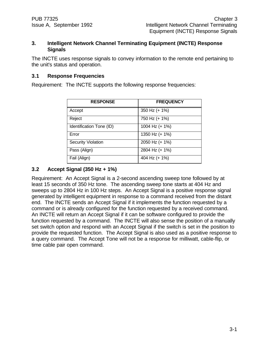#### **3. Intelligent Network Channel Terminating Equipment (INCTE) Response Signals**

The INCTE uses response signals to convey information to the remote end pertaining to the unit's status and operation.

## **3.1 Response Frequencies**

Requirement: The INCTE supports the following response frequencies:

| <b>RESPONSE</b>           | <b>FREQUENCY</b> |
|---------------------------|------------------|
| Accept                    | 350 Hz (+ 1%)    |
| Reject                    | 750 Hz (+ 1%)    |
| Identification Tone (ID)  | 1004 Hz (+ 1%)   |
| Error                     | 1350 Hz (+ 1%)   |
| <b>Security Violation</b> | 2050 Hz (+ 1%)   |
| Pass (Align)              | 2804 Hz (+ 1%)   |
| Fail (Align)              | 404 Hz (+ 1%)    |

## **3.2 Accept Signal (350 Hz + 1%)**

Requirement: An Accept Signal is a 2-second ascending sweep tone followed by at least 15 seconds of 350 Hz tone. The ascending sweep tone starts at 404 Hz and sweeps up to 2804 Hz in 100 Hz steps. An Accept Signal is a positive response signal generated by intelligent equipment in response to a command received from the distant end. The INCTE sends an Accept Signal if it implements the function requested by a command or is already configured for the function requested by a received command. An INCTE will return an Accept Signal if it can be software configured to provide the function requested by a command. The INCTE will also sense the position of a manually set switch option and respond with an Accept Signal if the switch is set in the position to provide the requested function. The Accept Signal is also used as a positive response to a query command. The Accept Tone will not be a response for milliwatt, cable-flip, or time cable pair open command.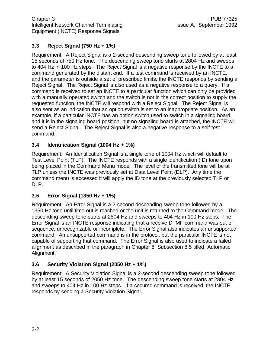## **3.3 Reject Signal (750 Hz + 1%)**

Requirement: A Reject Signal is a 2-second descending sweep tone followed by at least 15 seconds of 750 Hz tone. The descending sweep tone starts at 2804 Hz and sweeps to 404 Hz in 100 Hz steps. The Reject Signal is a negative response by the INCTE to a command generated by the distant end. If a test command is received by an INCTE, and the parameter is outside a set of prescribed limits, the INCTE responds by sending a Reject Signal. The Reject Signal is also used as a negative response to a query. If a command is received to set an INCTE to a particular function which can only be provided with a manually operated switch and the switch is not in the correct position to supply the requested function, the INCTE will respond with a Reject Signal. The Reject Signal is also sent as an indication that an option switch is set to an inappropriate position. As an example, if a particular INCTE has an option switch used to switch in a signaling board, and it is in the signaling board position, but no signaling board is attached, the INCTE will send a Reject Signal. The Reject Signal is also a negative response to a self-test command.

## **3.4 Identification Signal (1004 Hz + 1%)**

Requirement: An Identification Signal is a single tone of 1004 Hz which will default to Test Level Point (TLP). The INCTE responds with a single identification (ID) tone upon being placed in the Command Menu mode. The level of the transmitted tone will be at TLP unless the INCTE was previously set at Data Level Point (DLP). Any time the command menu is accessed it will apply the ID tone at the previously selected TLP or DLP.

## **3.5 Error Signal (1350 Hz + 1%)**

Requirement: An Error Signal is a 2-second descending sweep tone followed by a 1350 Hz tone until time-out is reached or the unit is returned to the Command mode. The descending sweep tone starts at 2804 Hz and sweeps to 404 Hz in 100 Hz steps. The Error Signal is an INCTE response indicating that a receive DTMF command was out of sequence, unrecognizable or incomplete. The Error Signal also indicates an unsupported command. An unsupported command is in the protocol, but the particular INCTE is not capable of supporting that command. The Error Signal is also used to indicate a failed alignment as described in the paragraph in Chapter 8, Subsection 8.5 titled "Automatic Alignment."

## **3.6 Security Violation Signal (2050 Hz + 1%)**

Requirement: A Security Violation Signal is a 2-second descending sweep tone followed by at least 15 seconds of 2050 Hz tone. The descending sweep tone starts at 2804 Hz and sweeps to 404 Hz in 100 Hz steps. If a secured command is received, the INCTE responds by sending a Security Violation Signal.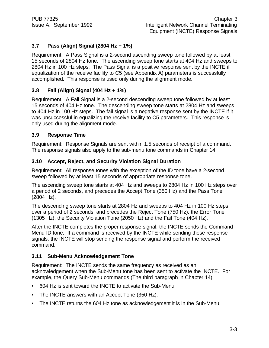## **3.7 Pass (Align) Signal (2804 Hz + 1%)**

Requirement: A Pass Signal is a 2-second ascending sweep tone followed by at least 15 seconds of 2804 Hz tone. The ascending sweep tone starts at 404 Hz and sweeps to 2804 Hz in 100 Hz steps. The Pass Signal is a positive response sent by the INCTE if equalization of the receive facility to C5 (see Appendix A) parameters is successfully accomplished. This response is used only during the alignment mode.

## **3.8 Fail (Align) Signal (404 Hz + 1%)**

Requirement: A Fail Signal is a 2-second descending sweep tone followed by at least 15 seconds of 404 Hz tone. The descending sweep tone starts at 2804 Hz and sweeps to 404 Hz in 100 Hz steps. The fail signal is a negative response sent by the INCTE if it was unsuccessful in equalizing the receive facility to C5 parameters. This response is only used during the alignment mode.

## **3.9 Response Time**

Requirement: Response Signals are sent within 1.5 seconds of receipt of a command. The response signals also apply to the sub-menu tone commands in Chapter 14.

## **3.10 Accept, Reject, and Security Violation Signal Duration**

Requirement: All response tones with the exception of the ID tone have a 2-second sweep followed by at least 15 seconds of appropriate response tone.

The ascending sweep tone starts at 404 Hz and sweeps to 2804 Hz in 100 Hz steps over a period of 2 seconds, and precedes the Accept Tone (350 Hz) and the Pass Tone (2804 Hz).

The descending sweep tone starts at 2804 Hz and sweeps to 404 Hz in 100 Hz steps over a period of 2 seconds, and precedes the Reject Tone (750 Hz), the Error Tone (1305 Hz), the Security Violation Tone (2050 Hz) and the Fail Tone (404 Hz).

After the INCTE completes the proper response signal, the INCTE sends the Command Menu ID tone. If a command is received by the INCTE while sending these response signals, the INCTE will stop sending the response signal and perform the received command.

## **3.11 Sub-Menu Acknowledgement Tone**

Requirement: The INCTE sends the same frequency as received as an acknowledgement when the Sub-Menu tone has been sent to activate the INCTE. For example, the Query Sub-Menu commands (The third paragraph in Chapter 14):

- 604 Hz is sent toward the INCTE to activate the Sub-Menu.
- The INCTE answers with an Accept Tone (350 Hz).
- The INCTE returns the 604 Hz tone as acknowledgement it is in the Sub-Menu.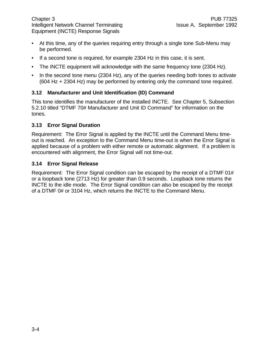- At this time, any of the queries requiring entry through a single tone Sub-Menu may be performed.
- If a second tone is required, for example 2304 Hz in this case, it is sent.
- The INCTE equipment will acknowledge with the same frequency tone (2304 Hz).
- In the second tone menu (2304 Hz), any of the queries needing both tones to activate (604 Hz + 2304 Hz) may be performed by entering only the command tone required.

## **3.12 Manufacturer and Unit Identification (ID) Command**

This tone identifies the manufacturer of the installed INCTE. See Chapter 5, Subsection 5.2.10 titled "DTMF 70# Manufacturer and Unit ID Command" for information on the tones.

#### **3.13 Error Signal Duration**

Requirement: The Error Signal is applied by the INCTE until the Command Menu timeout is reached. An exception to the Command Menu time-out is when the Error Signal is applied because of a problem with either remote or automatic alignment. If a problem is encountered with alignment, the Error Signal will not time-out.

#### **3.14 Error Signal Release**

Requirement: The Error Signal condition can be escaped by the receipt of a DTMF 01# or a loopback tone (2713 Hz) for greater than 0.9 seconds. Loopback tone returns the INCTE to the idle mode. The Error Signal condition can also be escaped by the receipt of a DTMF 0# or 3104 Hz, which returns the INCTE to the Command Menu.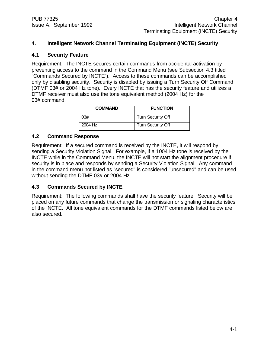## **4. Intelligent Network Channel Terminating Equipment (INCTE) Security**

#### **4.1 Security Feature**

Requirement: The INCTE secures certain commands from accidental activation by preventing access to the command in the Command Menu (see Subsection 4.3 titled "Commands Secured by INCTE"). Access to these commands can be accomplished only by disabling security. Security is disabled by issuing a Turn Security Off Command (DTMF 03# or 2004 Hz tone). Every INCTE that has the security feature and utilizes a DTMF receiver must also use the tone equivalent method (2004 Hz) for the 03# command.

| <b>COMMAND</b> | <b>FUNCTION</b>          |
|----------------|--------------------------|
| 0.3#           | <b>Turn Security Off</b> |
| 2004 Hz        | <b>Turn Security Off</b> |

#### **4.2 Command Response**

Requirement: If a secured command is received by the INCTE, it will respond by sending a Security Violation Signal. For example, if a 1004 Hz tone is received by the INCTE while in the Command Menu, the INCTE will not start the alignment procedure if security is in place and responds by sending a Security Violation Signal. Any command in the command menu not listed as "secured" is considered "unsecured" and can be used without sending the DTMF 03# or 2004 Hz.

#### **4.3 Commands Secured by INCTE**

Requirement: The following commands shall have the security feature. Security will be placed on any future commands that change the transmission or signaling characteristics of the INCTE. All tone equivalent commands for the DTMF commands listed below are also secured.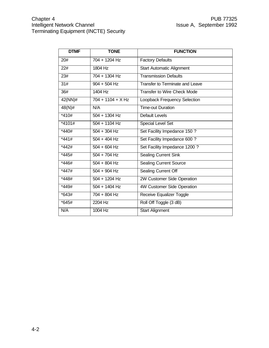| <b>DTMF</b>       | <b>TONE</b>         | <b>FUNCTION</b>                        |
|-------------------|---------------------|----------------------------------------|
| 20#               | 704 + 1204 Hz       | <b>Factory Defaults</b>                |
| $\overline{22#}$  | 1804 Hz             | <b>Start Automatic Alignment</b>       |
| 23#               | 704 + 1304 Hz       | <b>Transmission Defaults</b>           |
| $\overline{31\#}$ | $904 + 504$ Hz      | <b>Transfer to Terminate and Leave</b> |
| 36#               | 1404 Hz             | <b>Transfer to Wire Check Mode</b>     |
| $42(NN)\#$        | $704 + 1104 + X Hz$ | Loopback Frequency Selection           |
| $48(N)$ #         | N/A                 | <b>Time-out Duration</b>               |
| $*410#$           | $504 + 1304$ Hz     | <b>Default Levels</b>                  |
| $*4101#$          | $504 + 1104$ Hz     | <b>Special Level Set</b>               |
| $*440#$           | $504 + 304$ Hz      | Set Facility Impedance 150 ?           |
| $*441#$           | $504 + 404$ Hz      | Set Facility Impedance 600 ?           |
| $*442#$           | $504 + 604$ Hz      | Set Facility Impedance 1200 ?          |
| $*445#$           | $504 + 704$ Hz      | <b>Sealing Current Sink</b>            |
| *446#             | $504 + 804$ Hz      | <b>Sealing Current Source</b>          |
| *447#             | $504 + 904$ Hz      | <b>Sealing Current Off</b>             |
| $*448#$           | $504 + 1204$ Hz     | 2W Customer Side Operation             |
| $*449#$           | $504 + 1404$ Hz     | 4W Customer Side Operation             |
| $*643#$           | $704 + 804$ Hz      | Receive Equalizer Toggle               |
| $*645#$           | 2204 Hz             | Roll Off Toggle (3 dB)                 |
| N/A               | 1004 Hz             | <b>Start Alignment</b>                 |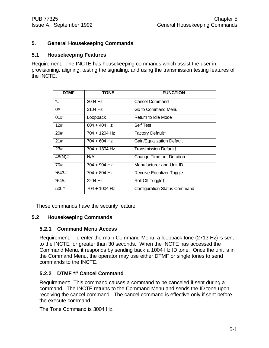## **5. General Housekeeping Commands**

#### **5.1 Housekeeping Features**

Requirement: The INCTE has housekeeping commands which assist the user in provisioning, aligning, testing the signaling, and using the transmission testing features of the INCTE.

| <b>DTMF</b> | <b>TONE</b>    | <b>FUNCTION</b>                 |
|-------------|----------------|---------------------------------|
| *#          | 3004 Hz        | <b>Cancel Command</b>           |
| 0#          | 3104 Hz        | Go to Command Menu              |
| 01#         | Loopback       | Return to Idle Mode             |
| 12#         | $604 + 404$ Hz | <b>Self Test</b>                |
| 20#         | 704 + 1204 Hz  | Factory Default+                |
| 21#         | $704 + 604$ Hz | Gain/Equalization Default       |
| 23#         | 704 + 1304 Hz  | <b>Transmission Default+</b>    |
| 48(N)#      | N/A            | <b>Change Time-out Duration</b> |
| 70#         | $704 + 904$ Hz | Manufacturer and Unit ID        |
| *643#       | 704 + 804 Hz   | Receive Equalizer Togglet       |
| *645#       | 2204 Hz        | Roll Off Togglet                |
| 500#        | 704 + 1004 Hz  | Configuration Status Command    |

† These commands have the security feature.

#### **5.2 Housekeeping Commands**

#### **5.2.1 Command Menu Access**

Requirement: To enter the main Command Menu, a loopback tone (2713 Hz) is sent to the INCTE for greater than 30 seconds. When the INCTE has accessed the Command Menu, it responds by sending back a 1004 Hz ID tone. Once the unit is in the Command Menu, the operator may use either DTMF or single tones to send commands to the INCTE.

#### **5.2.2 DTMF \*# Cancel Command**

Requirement: This command causes a command to be canceled if sent during a command. The INCTE returns to the Command Menu and sends the ID tone upon receiving the cancel command. The cancel command is effective only if sent before the execute command.

The Tone Command is 3004 Hz.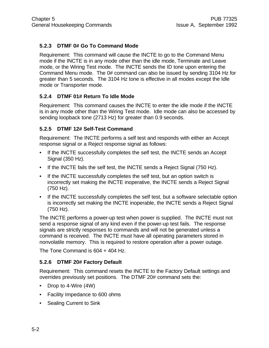## **5.2.3 DTMF 0# Go To Command Mode**

Requirement: This command will cause the INCTE to go to the Command Menu mode if the INCTE is in any mode other than the idle mode, Terminate and Leave mode, or the Wiring Test mode. The INCTE sends the ID tone upon entering the Command Menu mode. The 0# command can also be issued by sending 3104 Hz for greater than 5 seconds. The 3104 Hz tone is effective in all modes except the Idle mode or Transporter mode.

## **5.2.4 DTMF 01# Return To Idle Mode**

Requirement: This command causes the INCTE to enter the idle mode if the INCTE is in any mode other than the Wiring Test mode. Idle mode can also be accessed by sending loopback tone (2713 Hz) for greater than 0.9 seconds.

## **5.2.5 DTMF 12# Self-Test Command**

Requirement: The INCTE performs a self test and responds with either an Accept response signal or a Reject response signal as follows:

- If the INCTE successfully completes the self test, the INCTE sends an Accept Signal (350 Hz).
- If the INCTE fails the self test, the INCTE sends a Reject Signal (750 Hz).
- If the INCTE successfully completes the self test, but an option switch is incorrectly set making the INCTE inoperative, the INCTE sends a Reject Signal (750 Hz).
- If the INCTE successfully completes the self test, but a software selectable option is incorrectly set making the INCTE inoperable, the INCTE sends a Reject Signal (750 Hz).

The INCTE performs a power-up test when power is supplied. The INCTE must not send a response signal of any kind even if the power-up test fails. The response signals are strictly responses to commands and will not be generated unless a command is received. The INCTE must have all operating parameters stored in nonvolatile memory. This is required to restore operation after a power outage.

The Tone Command is 604 + 404 Hz.

## **5.2.6 DTMF 20# Factory Default**

Requirement: This command resets the INCTE to the Factory Default settings and overrides previously set positions. The DTMF 20# command sets the:

- Drop to 4-Wire (4W)
- Facility Impedance to 600 ohms
- Sealing Current to Sink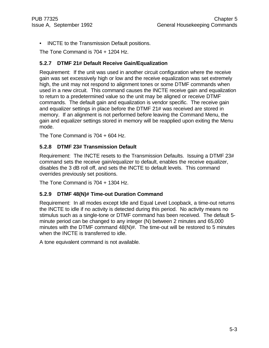• INCTE to the Transmission Default positions.

The Tone Command is 704 + 1204 Hz.

## **5.2.7 DTMF 21# Default Receive Gain/Equalization**

Requirement: If the unit was used in another circuit configuration where the receive gain was set excessively high or low and the receive equalization was set extremely high, the unit may not respond to alignment tones or some DTMF commands when used in a new circuit. This command causes the INCTE receive gain and equalization to return to a predetermined value so the unit may be aligned or receive DTMF commands. The default gain and equalization is vendor specific. The receive gain and equalizer settings in place before the DTMF 21# was received are stored in memory. If an alignment is not performed before leaving the Command Menu, the gain and equalizer settings stored in memory will be reapplied upon exiting the Menu mode.

The Tone Command is 704 + 604 Hz.

## **5.2.8 DTMF 23# Transmission Default**

Requirement: The INCTE resets to the Transmission Defaults. Issuing a DTMF 23# command sets the receive gain/equalizer to default, enables the receive equalizer, disables the 3 dB roll off, and sets the INCTE to default levels. This command overrides previously set positions.

The Tone Command is 704 + 1304 Hz.

## **5.2.9 DTMF 48(N)# Time-out Duration Command**

Requirement: In all modes except Idle and Equal Level Loopback, a time-out returns the INCTE to idle if no activity is detected during this period. No activity means no stimulus such as a single-tone or DTMF command has been received. The default 5 minute period can be changed to any integer (N) between 2 minutes and 65,000 minutes with the DTMF command 48(N)#. The time-out will be restored to 5 minutes when the INCTE is transferred to idle.

A tone equivalent command is not available.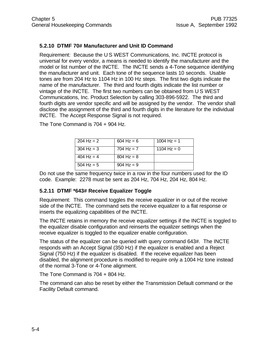## **5.2.10 DTMF 70# Manufacturer and Unit ID Command**

Requirement: Because the U S WEST Communications, Inc. INCTE protocol is universal for every vendor, a means is needed to identify the manufacturer and the model or list number of the INCTE. The INCTE sends a 4-Tone sequence identifying the manufacturer and unit. Each tone of the sequence lasts 10 seconds. Usable tones are from 204 Hz to 1104 Hz in 100 Hz steps. The first two digits indicate the name of the manufacturer. The third and fourth digits indicate the list number or vintage of the INCTE. The first two numbers can be obtained from U S WEST Communications, Inc. Product Selection by calling 303-896-5922. The third and fourth digits are vendor specific and will be assigned by the vendor. The vendor shall disclose the assignment of the third and fourth digits in the literature for the individual INCTE. The Accept Response Signal is not required.

| $204$ Hz = 2 | $604 \text{ Hz} = 6$ | 1004 Hz = 1   |
|--------------|----------------------|---------------|
| $304$ Hz = 3 | 704 Hz = $7$         | 1104 Hz = $0$ |
| 404 Hz = $4$ | $804$ Hz = 8         |               |
| $504$ Hz = 5 | $904$ Hz = 9         |               |

The Tone Command is 704 + 904 Hz.

Do not use the same frequency twice in a row in the four numbers used for the ID code. Example: 2278 must be sent as 204 Hz, 704 Hz, 204 Hz, 804 Hz.

## **5.2.11 DTMF \*643# Receive Equalizer Toggle**

Requirement: This command toggles the receive equalizer in or out of the receive side of the INCTE. The command sets the receive equalizer to a flat response or inserts the equalizing capabilities of the INCTE.

The INCTE retains in memory the receive equalizer settings if the INCTE is toggled to the equalizer disable configuration and reinserts the equalizer settings when the receive equalizer is toggled to the equalizer enable configuration.

The status of the equalizer can be queried with query command 643#. The INCTE responds with an Accept Signal (350 Hz) if the equalizer is enabled and a Reject Signal (750 Hz) if the equalizer is disabled. If the receive equalizer has been disabled, the alignment procedure is modified to require only a 1004 Hz tone instead of the normal 3-Tone or 4-Tone alignment.

The Tone Command is 704 + 804 Hz.

The command can also be reset by either the Transmission Default command or the Facility Default command.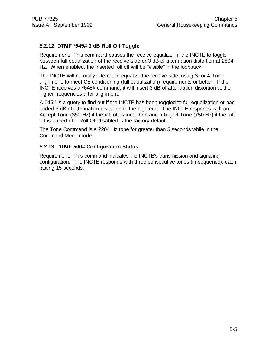## **5.2.12 DTMF \*645# 3 dB Roll Off Toggle**

Requirement: This command causes the receive equalizer in the INCTE to toggle between full equalization of the receive side or 3 dB of attenuation distortion at 2804 Hz. When enabled, the inserted roll off will be "visible" in the loopback.

The INCTE will normally attempt to equalize the receive side, using 3- or 4-Tone alignment, to meet C5 conditioning (full equalization) requirements or better. If the INCTE receives a \*645# command, it will insert 3 dB of attenuation distortion at the higher frequencies after alignment.

A 645# is a query to find out if the INCTE has been toggled to full equalization or has added 3 dB of attenuation distortion to the high end. The INCTE responds with an Accept Tone (350 Hz) if the roll off is turned on and a Reject Tone (750 Hz) if the roll off is turned off. Roll Off disabled is the factory default.

The Tone Command is a 2204 Hz tone for greater than 5 seconds while in the Command Menu mode.

## **5.2.13 DTMF 500# Configuration Status**

Requirement: This command indicates the INCTE's transmission and signaling configuration. The INCTE responds with three consecutive tones (in sequence), each lasting 15 seconds.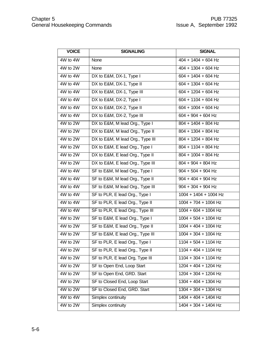| <b>VOICE</b> | <b>SIGNALING</b>                 | <b>SIGNAL</b>                                           |
|--------------|----------------------------------|---------------------------------------------------------|
| 4W to 4W     | None                             | $404 + 1404 + 604$ Hz                                   |
| 4W to 2W     | None                             | $404 + 1304 + 604$ Hz                                   |
| 4W to 4W     | DX to E&M, DX-1, Type I          | $604 + 1404 + 604$ Hz                                   |
| 4W to 4W     | DX to E&M, DX-1, Type II         | $604 + 1304 + 604$ Hz                                   |
| 4W to 4W     | DX to E&M, DX-1, Type III        | $604 + 1204 + 604$ Hz                                   |
| 4W to 4W     | DX to E&M, DX-2, Type I          | $604 + 1104 + 604$ Hz                                   |
| 4W to 4W     | DX to E&M, DX-2, Type II         | $604 + 1004 + 604$ Hz                                   |
| 4W to 4W     | DX to E&M, DX-2, Type III        | $604 + 904 + 604$ Hz                                    |
| 4W to 2W     | DX to E&M, M lead Org., Type I   | $804 + 1404 + 804$ Hz                                   |
| 4W to 2W     | DX to E&M, M lead Org., Type II  | $804 + 1304 + 804$ Hz                                   |
| 4W to 2W     | DX to E&M, M lead Org., Type III | $804 + 1204 + 804$ Hz                                   |
| 4W to 2W     | DX to E&M, E lead Org., Type I   | $804 + 1104 + 804$ Hz                                   |
| 4W to 2W     | DX to E&M, E lead Org., Type II  | $804 + 1004 + 804$ Hz                                   |
| 4W to 2W     | DX to E&M, E lead Org., Type III | $804 + 904 + 804$ Hz                                    |
| 4W to 4W     | SF to E&M, M lead Org., Type I   | $904 + 504 + 904$ Hz                                    |
| 4W to 4W     | SF to E&M, M lead Org., Type II  | $904 + 404 + 904$ Hz                                    |
| 4W to 4W     | SF to E&M, M lead Org., Type III | $904 + 304 + 904$ Hz                                    |
| 4W to 4W     | SF to PLR, E lead Org., Type I   | $1004 + 1404 + 1004$ Hz                                 |
| 4W to 4W     | SF to PLR, E lead Org., Type II  | $1004 + 704 + 1004$ Hz                                  |
| 4W to 4W     | SF to PLR, E lead Org., Type III | $1004 + 604 + 1004$ Hz                                  |
| 4W to 2W     | SF to E&M, E lead Org., Type I   | $1004 + 504 + 1004$ Hz                                  |
| 4W to 2W     | SF to E&M, E lead Org., Type II  | $1004 + 404 + 1004$ Hz                                  |
| 4W to 2W     | SF to E&M, E lead Org., Type III | $1004 + 304 + 1004$ Hz                                  |
| 4W to 2W     | SF to PLR, E lead Org., Type I   | $1104 + 504 + 1104$ Hz                                  |
| 4W to 2W     | SF to PLR, E lead Org., Type II  | $1104 + 404 + 1104$ Hz                                  |
| 4W to 2W     | SF to PLR, E lead Org, Type III  | $1104 + 304 + 1104$ Hz                                  |
| 4W to 2W     | SF to Open End, Loop Start       | 1204 + 404 + 1204 Hz                                    |
| 4W to 2W     | SF to Open End, GRD. Start       | $120\overline{4} + 30\overline{4} + 120\overline{4}$ Hz |
| 4W to 2W     | SF to Closed End, Loop Start     | $1304 + 404 + 1304$ Hz                                  |
| 4W to 2W     | SF to Closed End, GRD. Start     | $1304 + 304 + 1304$ Hz                                  |
| 4W to 4W     | Simplex continuity               | 1404 + 404 + 1404 Hz                                    |
| 4W to 2W     | Simplex continuity               | $1404 + 304 + 1404$ Hz                                  |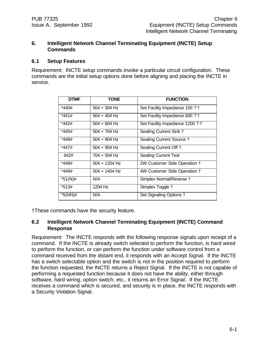## **6. Intelligent Network Channel Terminating Equipment (INCTE) Setup Commands**

#### **6.1 Setup Features**

Requirement: INCTE setup commands invoke a particular circuit configuration. These commands are the initial setup options done before aligning and placing the INCTE in service.

| <b>DTMF</b> | <b>TONE</b>     | <b>FUNCTION</b>                 |
|-------------|-----------------|---------------------------------|
| *440#       | $504 + 304$ Hz  | Set Facility Impedance 150 ? †  |
| *441#       | $504 + 404$ Hz  | Set Facility Impedance 600 ? †  |
| *442#       | $504 + 604$ Hz  | Set Facility Impedance 1200 ? † |
| *445#       | $504 + 704$ Hz  | Sealing Current Sink +          |
| *446#       | $504 + 804$ Hz  | Sealing Current Source +        |
| *447#       | $504 + 904$ Hz  | Sealing Current Off †           |
| 642#        | 704 + 504 Hz    | <b>Sealing Current Test</b>     |
| *448#       | 504 + 1204 Hz   | 2W Customer Side Operation †    |
| *449#       | $504 + 1404$ Hz | 4W Customer Side Operation †    |
| $*51(N)$ #  | N/A             | Simplex Normal/Reverse †        |
| *513#       | 1204 Hz         | Simplex Toggle +                |
| *5(NN)#     | N/A             | Set Signaling Options +         |

†These commands have the security feature.

## **6.2 Intelligent Network Channel Terminating Equipment (INCTE) Command Response**

Requirement: The INCTE responds with the following response signals upon receipt of a command. If the INCTE is already switch selected to perform the function, is hard wired to perform the function, or can perform the function under software control from a command received from the distant end, it responds with an Accept Signal. If the INCTE has a switch selectable option and the switch is not in the position required to perform the function requested, the INCTE returns a Reject Signal. If the INCTE is not capable of performing a requested function because it does not have the ability, either through software, hard wiring, option switch, etc., it returns an Error Signal. If the INCTE receives a command which is secured, and security is in place, the INCTE responds with a Security Violation Signal.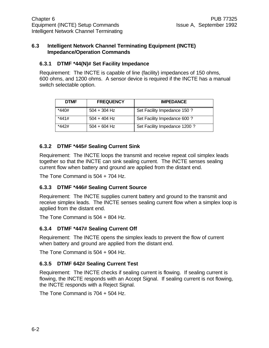#### **6.3 Intelligent Network Channel Terminating Equipment (INCTE) Impedance/Operation Commands**

## **6.3.1 DTMF \*44(N)# Set Facility Impedance**

Requirement: The INCTE is capable of line (facility) impedances of 150 ohms, 600 ohms, and 1200 ohms. A sensor device is required if the INCTE has a manual switch selectable option.

| <b>DTMF</b> | <b>FREQUENCY</b> | <b>IMPEDANCE</b>              |
|-------------|------------------|-------------------------------|
| *440#       | $504 + 304$ Hz   | Set Facility Impedance 150 ?  |
| *441#       | $504 + 404$ Hz   | Set Facility Impedance 600 ?  |
| *442#       | $504 + 604$ Hz   | Set Facility Impedance 1200 ? |

## **6.3.2 DTMF \*445# Sealing Current Sink**

Requirement: The INCTE loops the transmit and receive repeat coil simplex leads together so that the INCTE can sink sealing current. The INCTE senses sealing current flow when battery and ground are applied from the distant end.

The Tone Command is 504 + 704 Hz.

## **6.3.3 DTMF \*446# Sealing Current Source**

Requirement: The INCTE supplies current battery and ground to the transmit and receive simplex leads. The INCTE senses sealing current flow when a simplex loop is applied from the distant end.

The Tone Command is 504 + 804 Hz.

## **6.3.4 DTMF \*447# Sealing Current Off**

Requirement: The INCTE opens the simplex leads to prevent the flow of current when battery and ground are applied from the distant end.

The Tone Command is 504 + 904 Hz.

## **6.3.5 DTMF 642# Sealing Current Test**

Requirement: The INCTE checks if sealing current is flowing. If sealing current is flowing, the INCTE responds with an Accept Signal. If sealing current is not flowing, the INCTE responds with a Reject Signal.

The Tone Command is 704 + 504 Hz.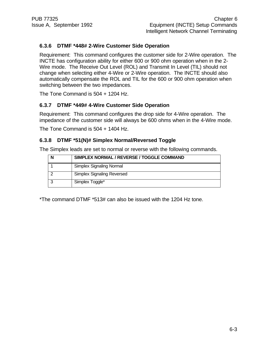## **6.3.6 DTMF \*448# 2-Wire Customer Side Operation**

Requirement: This command configures the customer side for 2-Wire operation. The INCTE has configuration ability for either 600 or 900 ohm operation when in the 2- Wire mode. The Receive Out Level (ROL) and Transmit In Level (TIL) should not change when selecting either 4-Wire or 2-Wire operation. The INCTE should also automatically compensate the ROL and TIL for the 600 or 900 ohm operation when switching between the two impedances.

The Tone Command is 504 + 1204 Hz.

## **6.3.7 DTMF \*449# 4-Wire Customer Side Operation**

Requirement: This command configures the drop side for 4-Wire operation. The impedance of the customer side will always be 600 ohms when in the 4-Wire mode.

The Tone Command is 504 + 1404 Hz.

## **6.3.8 DTMF \*51(N)# Simplex Normal/Reversed Toggle**

The Simplex leads are set to normal or reverse with the following commands.

| SIMPLEX NORMAL / REVERSE / TOGGLE COMMAND |
|-------------------------------------------|
| Simplex Signaling Normal                  |
| <b>Simplex Signaling Reversed</b>         |
| Simplex Toggle*                           |

\*The command DTMF \*513# can also be issued with the 1204 Hz tone.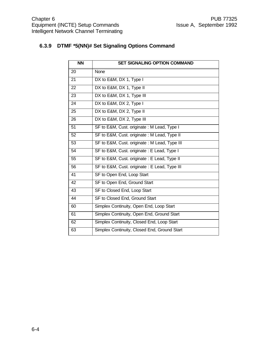## **6.3.9 DTMF \*5(NN)# Set Signaling Options Command**

| <b>NN</b>       | <b>SET SIGNALING OPTION COMMAND</b>           |
|-----------------|-----------------------------------------------|
| 20              | None                                          |
| 21              | DX to E&M, DX 1, Type I                       |
| 22              | DX to E&M, DX 1, Type II                      |
| 23              | DX to E&M, DX 1, Type III                     |
| 24              | DX to E&M, DX 2, Type I                       |
| 25              | DX to E&M, DX 2, Type II                      |
| 26              | DX to E&M, DX 2, Type III                     |
| 51              | SF to E&M, Cust. originate: M Lead, Type I    |
| 52              | SF to E&M, Cust. originate: M Lead, Type II   |
| 53              | SF to E&M, Cust. originate: M Lead, Type III  |
| 54              | SF to E&M, Cust. originate: E Lead, Type I    |
| 55              | SF to E&M, Cust. originate : E Lead, Type II  |
| 56              | SF to E&M, Cust. originate : E Lead, Type III |
| 41              | SF to Open End, Loop Start                    |
| 42              | SF to Open End, Ground Start                  |
| $\overline{43}$ | SF to Closed End, Loop Start                  |
| 44              | SF to Closed End, Ground Start                |
| 60              | Simplex Continuity, Open End, Loop Start      |
| 61              | Simplex Continuity, Open End, Ground Start    |
| 62              | Simplex Continuity, Closed End, Loop Start    |
| 63              | Simplex Continuity, Closed End, Ground Start  |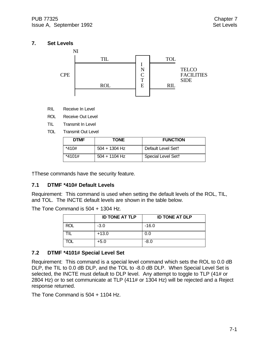## **7. Set Levels**



- RIL Receive In Level
- ROL Receive Out Level
- TIL Transmit In Level
- TOL Transmit Out Level

| <b>DTMF</b> | <b>TONE</b>     | <b>FUNCTION</b>    |
|-------------|-----------------|--------------------|
| *410#       | $504 + 1304$ Hz | Default Level Sett |
| *4101#      | $504 + 1104$ Hz | Special Level Sett |

†These commands have the security feature.

## **7.1 DTMF \*410# Default Levels**

Requirement: This command is used when setting the default levels of the ROL, TIL, and TOL. The INCTE default levels are shown in the table below.

The Tone Command is 504 + 1304 Hz.

|            | <b>ID TONE AT TLP</b> | <b>ID TONE AT DLP</b> |
|------------|-----------------------|-----------------------|
| <b>ROL</b> | $-3.0$                | $-16.0$               |
|            | $+13.0$               | 0.0                   |
| TOL        | $+5.0$                | $-8.0$                |

## **7.2 DTMF \*4101# Special Level Set**

Requirement: This command is a special level command which sets the ROL to 0.0 dB DLP, the TIL to 0.0 dB DLP, and the TOL to -8.0 dB DLP. When Special Level Set is selected, the INCTE must default to DLP level. Any attempt to toggle to TLP (41# or 2804 Hz) or to set communicate at TLP (411# or 1304 Hz) will be rejected and a Reject response returned.

The Tone Command is 504 + 1104 Hz.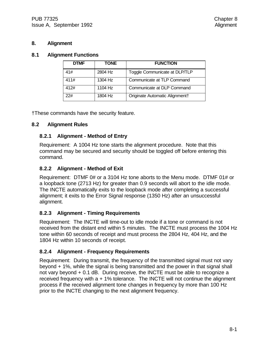## **8. Alignment**

#### **8.1 Alignment Functions**

| <b>DTMF</b> | TONE    | <b>FUNCTION</b>                |
|-------------|---------|--------------------------------|
| 41#         | 2804 Hz | Toggle Communicate at DLP/TLP  |
| 411#        | 1304 Hz | Communicate at TLP Command     |
| 412#        | 1104 Hz | Communicate at DLP Command     |
| 22#         | 1804 Hz | Originate Automatic Alignment+ |

†These commands have the security feature.

## **8.2 Alignment Rules**

## **8.2.1 Alignment - Method of Entry**

Requirement: A 1004 Hz tone starts the alignment procedure. Note that this command may be secured and security should be toggled off before entering this command.

## **8.2.2 Alignment - Method of Exit**

Requirement: DTMF 0# or a 3104 Hz tone aborts to the Menu mode. DTMF 01# or a loopback tone (2713 Hz) for greater than 0.9 seconds will abort to the idle mode. The INCTE automatically exits to the loopback mode after completing a successful alignment; it exits to the Error Signal response (1350 Hz) after an unsuccessful alignment.

## **8.2.3 Alignment - Timing Requirements**

Requirement: The INCTE will time-out to idle mode if a tone or command is not received from the distant end within 5 minutes. The INCTE must process the 1004 Hz tone within 60 seconds of receipt and must process the 2804 Hz, 404 Hz, and the 1804 Hz within 10 seconds of receipt.

## **8.2.4 Alignment - Frequency Requirements**

Requirement: During transmit, the frequency of the transmitted signal must not vary beyond + 1%, while the signal is being transmitted and the power in that signal shall not vary beyond + 0.1 dB. During receive, the INCTE must be able to recognize a received frequency with  $a + 1\%$  tolerance. The INCTE will not continue the alignment process if the received alignment tone changes in frequency by more than 100 Hz prior to the INCTE changing to the next alignment frequency.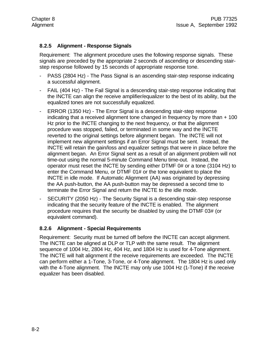## **8.2.5 Alignment - Response Signals**

Requirement: The alignment procedure uses the following response signals. These signals are preceded by the appropriate 2 seconds of ascending or descending stairstep response followed by 15 seconds of appropriate response tone.

- PASS (2804 Hz) The Pass Signal is an ascending stair-step response indicating a successful alignment.
- FAIL (404 Hz) The Fail Signal is a descending stair-step response indicating that the INCTE can align the receive amplifier/equalizer to the best of its ability, but the equalized tones are not successfully equalized.
- ERROR (1350 Hz) The Error Signal is a descending stair-step response indicating that a received alignment tone changed in frequency by more than + 100 Hz prior to the INCTE changing to the next frequency, or that the alignment procedure was stopped, failed, or terminated in some way and the INCTE reverted to the original settings before alignment began. The INCTE will not implement new alignment settings if an Error Signal must be sent. Instead, the INCTE will retain the gain/loss and equalizer settings that were in place before the alignment began. An Error Signal sent as a result of an alignment problem will not time-out using the normal 5-minute Command Menu time-out. Instead, the operator must reset the INCTE by sending either DTMF 0# or a tone (3104 Hz) to enter the Command Menu, or DTMF 01# or the tone equivalent to place the INCTE in idle mode. If Automatic Alignment (AA) was originated by depressing the AA push-button, the AA push-button may be depressed a second time to terminate the Error Signal and return the INCTE to the idle mode.
- SECURITY (2050 Hz) The Security Signal is a descending stair-step response indicating that the security feature of the INCTE is enabled. The alignment procedure requires that the security be disabled by using the DTMF 03# (or equivalent command).

#### **8.2.6 Alignment - Special Requirements**

Requirement: Security must be turned off before the INCTE can accept alignment. The INCTE can be aligned at DLP or TLP with the same result. The alignment sequence of 1004 Hz, 2804 Hz, 404 Hz, and 1804 Hz is used for 4-Tone alignment. The INCTE will halt alignment if the receive requirements are exceeded. The INCTE can perform either a 1-Tone, 3-Tone, or 4-Tone alignment. The 1804 Hz is used only with the 4-Tone alignment. The INCTE may only use 1004 Hz (1-Tone) if the receive equalizer has been disabled.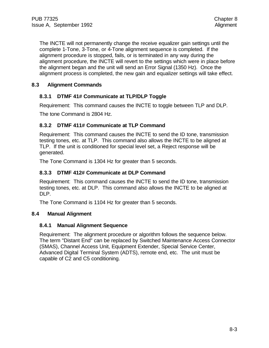The INCTE will not permanently change the receive equalizer gain settings until the complete 1-Tone, 3-Tone, or 4-Tone alignment sequence is completed. If the alignment procedure is stopped, fails, or is terminated in any way during the alignment procedure, the INCTE will revert to the settings which were in place before the alignment began and the unit will send an Error Signal (1350 Hz). Once the alignment process is completed, the new gain and equalizer settings will take effect.

## **8.3 Alignment Commands**

## **8.3.1 DTMF 41# Communicate at TLP/DLP Toggle**

Requirement: This command causes the INCTE to toggle between TLP and DLP.

The tone Command is 2804 Hz.

## **8.3.2 DTMF 411# Communicate at TLP Command**

Requirement: This command causes the INCTE to send the ID tone, transmission testing tones, etc. at TLP. This command also allows the INCTE to be aligned at TLP. If the unit is conditioned for special level set, a Reject response will be generated.

The Tone Command is 1304 Hz for greater than 5 seconds.

## **8.3.3 DTMF 412# Communicate at DLP Command**

Requirement: This command causes the INCTE to send the ID tone, transmission testing tones, etc. at DLP. This command also allows the INCTE to be aligned at DLP.

The Tone Command is 1104 Hz for greater than 5 seconds.

## **8.4 Manual Alignment**

## **8.4.1 Manual Alignment Sequence**

Requirement: The alignment procedure or algorithm follows the sequence below. The term "Distant End" can be replaced by Switched Maintenance Access Connector (SMAS), Channel Access Unit, Equipment Extender, Special Service Center, Advanced Digital Terminal System (ADTS), remote end, etc. The unit must be capable of C2 and C5 conditioning.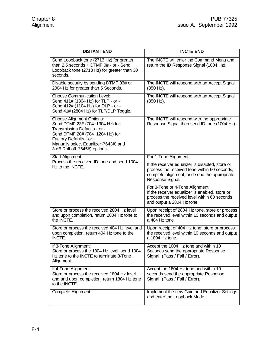| <b>DISTANT END</b>                                                                                                                                                                                                                           | <b>INCTE END</b>                                                                                                                                                    |
|----------------------------------------------------------------------------------------------------------------------------------------------------------------------------------------------------------------------------------------------|---------------------------------------------------------------------------------------------------------------------------------------------------------------------|
| Send Loopback tone (2713 Hz) for greater<br>than $2.5$ seconds + DTMF $0#$ - or - Send<br>Loopback tone (2713 Hz) for greater than 30<br>seconds.                                                                                            | The INCTE will enter the Command Menu and<br>return the ID Response Signal (1004 Hz).                                                                               |
| Disable security by sending DTMF 03# or<br>2004 Hz for greater than 5 Seconds.                                                                                                                                                               | The INCTE will respond with an Accept Signal<br>(350 Hz).                                                                                                           |
| <b>Choose Communication Level:</b><br>Send 411# (1304 Hz) for TLP - or -<br>Send 412# (1104 Hz) for DLP - or -<br>Send 41# (2804 Hz) for TLP/DLP Toggle.                                                                                     | The INCTE will respond with an Accept Signal<br>(350 Hz).                                                                                                           |
| <b>Choose Alignment Options:</b><br>Send DTMF 23# (704+1304 Hz) for<br>Transmission Defaults - or -<br>Send DTMF 20# (704+1204 Hz) for<br>Factory Defaults - or -<br>Manually select Equalizer (*643#) and<br>3 dB Roll-off (*645#) options. | The INCTE will respond with the appropriate<br>Response Signal then send ID tone (1004 Hz).                                                                         |
| Start Alignment:                                                                                                                                                                                                                             | For 1-Tone Alignment:                                                                                                                                               |
| Process the received ID tone and send 1004<br>Hz to the INCTE.                                                                                                                                                                               | If the receiver equalizer is disabled, store or<br>process the received tone within 60 seconds,<br>complete alignment, and send the appropriate<br>Response Signal. |
|                                                                                                                                                                                                                                              | For 3-Tone or 4-Tone Alignment:<br>If the receiver equalizer is enabled, store or<br>process the received level within 60 seconds<br>and output a 2804 Hz tone.     |
| Store or process the received 2804 Hz level<br>and upon completion, return 2804 Hz tone to<br>the INCTE.                                                                                                                                     | Upon receipt of 2804 Hz tone, store or process<br>the received level within 10 seconds and output<br>a 404 Hz tone.                                                 |
| Store or process the received 404 Hz level and<br>upon completion, return 404 Hz tone to the<br>INCTE.                                                                                                                                       | Upon receipt of 404 Hz tone, store or process<br>the received level within 10 seconds and output<br>a 1804 Hz tone.                                                 |
| If 3-Tone Alignment:<br>Store or process the 1804 Hz level, send 1004<br>Hz tone to the INCTE to terminate 3-Tone<br>Alignment.                                                                                                              | Accept the 1004 Hz tone and within 10<br>Seconds send the appropriate Response<br>Signal (Pass / Fail / Error).                                                     |
| If 4-Tone Alignment:<br>Store or process the received 1804 Hz level<br>and and upon completion, return 1804 Hz tone<br>to the INCTE.                                                                                                         | Accept the 1804 Hz tone and within 10<br>seconds send the appropriate Response<br>Signal (Pass / Fail / Error).                                                     |
| Complete Alignment.                                                                                                                                                                                                                          | Implement the new Gain and Equalizer Settings<br>and enter the Loopback Mode.                                                                                       |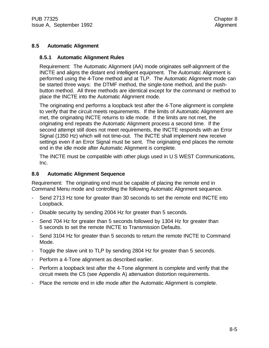## **8.5 Automatic Alignment**

#### **8.5.1 Automatic Alignment Rules**

Requirement: The Automatic Alignment (AA) mode originates self-alignment of the INCTE and aligns the distant end intelligent equipment. The Automatic Alignment is performed using the 4-Tone method and at TLP. The Automatic Alignment mode can be started three ways: the DTMF method, the single-tone method, and the pushbutton method. All three methods are identical except for the command or method to place the INCTE into the Automatic Alignment mode.

The originating end performs a loopback test after the 4-Tone alignment is complete to verify that the circuit meets requirements. If the limits of Automatic Alignment are met, the originating INCTE returns to idle mode. If the limits are not met, the originating end repeats the Automatic Alignment process a second time. If the second attempt still does not meet requirements, the INCTE responds with an Error Signal (1350 Hz) which will not time-out. The INCTE shall implement new receive settings even if an Error Signal must be sent. The originating end places the remote end in the idle mode after Automatic Alignment is complete.

The INCTE must be compatible with other plugs used in U S WEST Communications, Inc.

#### **8.6 Automatic Alignment Sequence**

Requirement: The originating end must be capable of placing the remote end in Command Menu mode and controlling the following Automatic Alignment sequence.

- Send 2713 Hz tone for greater than 30 seconds to set the remote end INCTE into Loopback.
- Disable security by sending 2004 Hz for greater than 5 seconds.
- Send 704 Hz for greater than 5 seconds followed by 1304 Hz for greater than 5 seconds to set the remote INCTE to Transmission Defaults.
- Send 3104 Hz for greater than 5 seconds to return the remote INCTE to Command Mode.
- Toggle the slave unit to TLP by sending 2804 Hz for greater than 5 seconds.
- Perform a 4-Tone alignment as described earlier.
- Perform a loopback test after the 4-Tone alignment is complete and verify that the circuit meets the C5 (see Appendix A) attenuation distortion requirements.
- Place the remote end in idle mode after the Automatic Alignment is complete.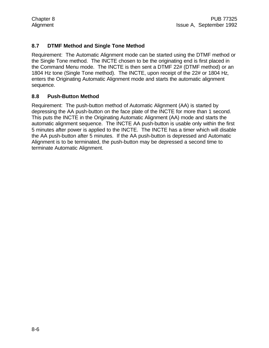## **8.7 DTMF Method and Single Tone Method**

Requirement: The Automatic Alignment mode can be started using the DTMF method or the Single Tone method. The INCTE chosen to be the originating end is first placed in the Command Menu mode. The INCTE is then sent a DTMF 22# (DTMF method) or an 1804 Hz tone (Single Tone method). The INCTE, upon receipt of the 22# or 1804 Hz, enters the Originating Automatic Alignment mode and starts the automatic alignment sequence.

## **8.8 Push-Button Method**

Requirement: The push-button method of Automatic Alignment (AA) is started by depressing the AA push-button on the face plate of the INCTE for more than 1 second. This puts the INCTE in the Originating Automatic Alignment (AA) mode and starts the automatic alignment sequence. The INCTE AA push-button is usable only within the first 5 minutes after power is applied to the INCTE. The INCTE has a timer which will disable the AA push-button after 5 minutes. If the AA push-button is depressed and Automatic Alignment is to be terminated, the push-button may be depressed a second time to terminate Automatic Alignment.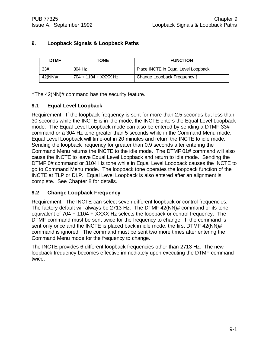## **9. Loopback Signals & Loopback Paths**

| <b>DTMF</b> | <b>TONE</b>          | <b>FUNCTION</b>                         |
|-------------|----------------------|-----------------------------------------|
| 33#         | 304 Hz               | Place INCTE in Equal Level Loopback.    |
| 42(NN)#     | 704 + 1104 + XXXX Hz | Change Loopback Frequency. <sup>†</sup> |

†The 42(NN)# command has the security feature.

## **9.1 Equal Level Loopback**

Requirement: If the loopback frequency is sent for more than 2.5 seconds but less than 30 seconds while the INCTE is in idle mode, the INCTE enters the Equal Level Loopback mode. The Equal Level Loopback mode can also be entered by sending a DTMF 33# command or a 304 Hz tone greater than 5 seconds while in the Command Menu mode. Equal Level Loopback will time-out in 20 minutes and return the INCTE to idle mode. Sending the loopback frequency for greater than 0.9 seconds after entering the Command Menu returns the INCTE to the idle mode. The DTMF 01# command will also cause the INCTE to leave Equal Level Loopback and return to idle mode. Sending the DTMF 0# command or 3104 Hz tone while in Equal Level Loopback causes the INCTE to go to Command Menu mode. The loopback tone operates the loopback function of the INCTE at TLP or DLP. Equal Level Loopback is also entered after an alignment is complete. See Chapter 8 for details.

## **9.2 Change Loopback Frequency**

Requirement: The INCTE can select seven different loopback or control frequencies. The factory default will always be 2713 Hz. The DTMF 42(NN)# command or its tone equivalent of 704 + 1104 + XXXX Hz selects the loopback or control frequency. The DTMF command must be sent twice for the frequency to change. If the command is sent only once and the INCTE is placed back in idle mode, the first DTMF 42(NN)# command is ignored. The command must be sent two more times after entering the Command Menu mode for the frequency to change.

The INCTE provides 6 different loopback frequencies other than 2713 Hz. The new loopback frequency becomes effective immediately upon executing the DTMF command twice.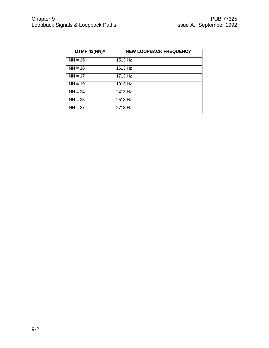| <b>DTMF 42(NN)#</b> | <b>NEW LOOPBACK FREQUENCY</b> |
|---------------------|-------------------------------|
| $NN = 15$           | 1513 Hz                       |
| $NN = 16$           | 1613 Hz                       |
| $NN = 17$           | 1713 Hz                       |
| $NN = 19$           | 1913 Hz                       |
| $NN = 24$           | 2413 Hz                       |
| $NN = 25$           | 2513 Hz                       |
| $NN = 27$           | 2713 Hz                       |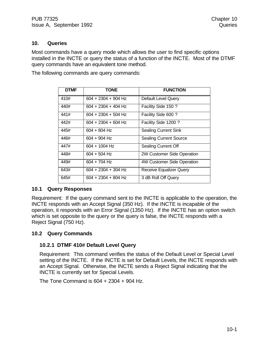#### **10. Queries**

Most commands have a query mode which allows the user to find specific options installed in the INCTE or query the status of a function of the INCTE. Most of the DTMF query commands have an equivalent tone method.

The following commands are query commands:

| <b>DTMF</b> | <b>TONE</b>           | <b>FUNCTION</b>                |
|-------------|-----------------------|--------------------------------|
| 410#        | $604 + 2304 + 904$ Hz | <b>Default Level Query</b>     |
| 440#        | 604 + 2304 + 404 Hz   | Facility Side 150 ?            |
| 441#        | 604 + 2304 + 504 Hz   | Facility Side 600 ?            |
| 442#        | $604 + 2304 + 604$ Hz | Facility Side 1200?            |
| 445#        | $604 + 804$ Hz        | <b>Sealing Current Sink</b>    |
| 446#        | $604 + 904$ Hz        | <b>Sealing Current Source</b>  |
| 447#        | $604 + 1004$ Hz       | Sealing Current Off            |
| 448#        | 604 + 504 Hz          | 2W Customer Side Operation     |
| 449#        | 604 + 704 Hz          | 4W Customer Side Operation     |
| 643#        | 604 + 2304 + 304 Hz   | <b>Receive Equalizer Query</b> |
| 645#        | $604 + 2304 + 804$ Hz | 3 dB Roll Off Query            |

#### **10.1 Query Responses**

Requirement: If the query command sent to the INCTE is applicable to the operation, the INCTE responds with an Accept Signal (350 Hz). If the INCTE is incapable of the operation, it responds with an Error Signal (1350 Hz). If the INCTE has an option switch which is set opposite to the query or the query is false, the INCTE responds with a Reject Signal (750 Hz).

#### **10.2 Query Commands**

#### **10.2.1 DTMF 410# Default Level Query**

Requirement: This command verifies the status of the Default Level or Special Level setting of the INCTE. If the INCTE is set for Default Levels, the INCTE responds with an Accept Signal. Otherwise, the INCTE sends a Reject Signal indicating that the INCTE is currently set for Special Levels.

The Tone Command is 604 + 2304 + 904 Hz.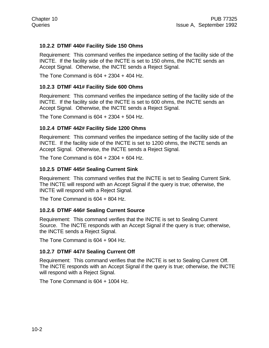## **10.2.2 DTMF 440# Facility Side 150 Ohms**

Requirement: This command verifies the impedance setting of the facility side of the INCTE. If the facility side of the INCTE is set to 150 ohms, the INCTE sends an Accept Signal. Otherwise, the INCTE sends a Reject Signal.

The Tone Command is 604 + 2304 + 404 Hz.

#### **10.2.3 DTMF 441# Facility Side 600 Ohms**

Requirement: This command verifies the impedance setting of the facility side of the INCTE. If the facility side of the INCTE is set to 600 ohms, the INCTE sends an Accept Signal. Otherwise, the INCTE sends a Reject Signal.

The Tone Command is 604 + 2304 + 504 Hz.

#### **10.2.4 DTMF 442# Facility Side 1200 Ohms**

Requirement: This command verifies the impedance setting of the facility side of the INCTE. If the facility side of the INCTE is set to 1200 ohms, the INCTE sends an Accept Signal. Otherwise, the INCTE sends a Reject Signal.

The Tone Command is 604 + 2304 + 604 Hz.

#### **10.2.5 DTMF 445# Sealing Current Sink**

Requirement: This command verifies that the INCTE is set to Sealing Current Sink. The INCTE will respond with an Accept Signal if the query is true; otherwise, the INCTE will respond with a Reject Signal.

The Tone Command is 604 + 804 Hz.

#### **10.2.6 DTMF 446# Sealing Current Source**

Requirement: This command verifies that the INCTE is set to Sealing Current Source. The INCTE responds with an Accept Signal if the query is true; otherwise, the INCTE sends a Reject Signal.

The Tone Command is 604 + 904 Hz.

#### **10.2.7 DTMF 447# Sealing Current Off**

Requirement: This command verifies that the INCTE is set to Sealing Current Off. The INCTE responds with an Accept Signal if the query is true; otherwise, the INCTE will respond with a Reject Signal.

The Tone Command is 604 + 1004 Hz.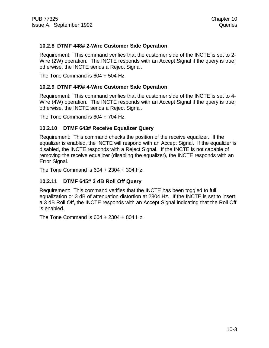## **10.2.8 DTMF 448# 2-Wire Customer Side Operation**

Requirement: This command verifies that the customer side of the INCTE is set to 2- Wire (2W) operation. The INCTE responds with an Accept Signal if the query is true; otherwise, the INCTE sends a Reject Signal.

The Tone Command is 604 + 504 Hz.

#### **10.2.9 DTMF 449# 4-Wire Customer Side Operation**

Requirement: This command verifies that the customer side of the INCTE is set to 4- Wire (4W) operation. The INCTE responds with an Accept Signal if the query is true; otherwise, the INCTE sends a Reject Signal.

The Tone Command is 604 + 704 Hz.

#### **10.2.10 DTMF 643# Receive Equalizer Query**

Requirement: This command checks the position of the receive equalizer. If the equalizer is enabled, the INCTE will respond with an Accept Signal. If the equalizer is disabled, the INCTE responds with a Reject Signal. If the INCTE is not capable of removing the receive equalizer (disabling the equalizer), the INCTE responds with an Error Signal.

The Tone Command is 604 + 2304 + 304 Hz.

#### **10.2.11 DTMF 645# 3 dB Roll Off Query**

Requirement: This command verifies that the INCTE has been toggled to full equalization or 3 dB of attenuation distortion at 2804 Hz. If the INCTE is set to insert a 3 dB Roll Off, the INCTE responds with an Accept Signal indicating that the Roll Off is enabled.

The Tone Command is 604 + 2304 + 804 Hz.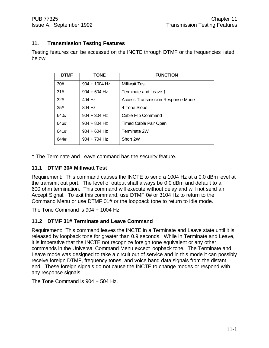## **11. Transmission Testing Features**

Testing features can be accessed on the INCTE through DTMF or the frequencies listed below.

| <b>DTMF</b> | <b>TONE</b>     | <b>FUNCTION</b>                          |
|-------------|-----------------|------------------------------------------|
| 30#         | $904 + 1004$ Hz | <b>Milliwatt Test</b>                    |
| 31#         | $904 + 504$ Hz  | Terminate and Leave †                    |
| 32#         | 404 Hz          | <b>Access Transmission Response Mode</b> |
| 35#         | 804 Hz          | 4-Tone Slope                             |
| 640#        | $904 + 304$ Hz  | Cable Flip Command                       |
| 646#        | $904 + 804$ Hz  | <b>Timed Cable Pair Open</b>             |
| 641#        | $904 + 604$ Hz  | Terminate 2W                             |
| 644#        | $904 + 704$ Hz  | Short 2W                                 |

† The Terminate and Leave command has the security feature.

## **11.1 DTMF 30# Milliwatt Test**

Requirement: This command causes the INCTE to send a 1004 Hz at a 0.0 dBm level at the transmit out port. The level of output shall always be 0.0 dBm and default to a 600 ohm termination. This command will execute without delay and will not send an Accept Signal. To exit this command, use DTMF 0# or 3104 Hz to return to the Command Menu or use DTMF 01# or the loopback tone to return to idle mode.

The Tone Command is 904 + 1004 Hz.

## **11.2 DTMF 31# Terminate and Leave Command**

Requirement: This command leaves the INCTE in a Terminate and Leave state until it is released by loopback tone for greater than 0.9 seconds. While in Terminate and Leave, it is imperative that the INCTE not recognize foreign tone equivalent or any other commands in the Universal Command Menu except loopback tone. The Terminate and Leave mode was designed to take a circuit out of service and in this mode it can possibly receive foreign DTMF, frequency tones, and voice band data signals from the distant end. These foreign signals do not cause the INCTE to change modes or respond with any response signals.

The Tone Command is 904 + 504 Hz.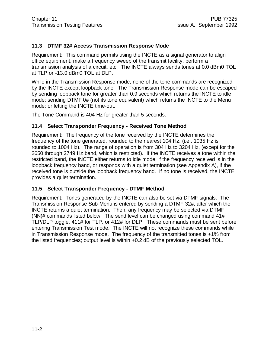## **11.3 DTMF 32# Access Transmission Response Mode**

Requirement: This command permits using the INCTE as a signal generator to align office equipment, make a frequency sweep of the transmit facility, perform a transmission analysis of a circuit, etc. The INCTE always sends tones at 0.0 dBm0 TOL at TLP or -13.0 dBm0 TOL at DLP.

While in the Transmission Response mode, none of the tone commands are recognized by the INCTE except loopback tone. The Transmission Response mode can be escaped by sending loopback tone for greater than 0.9 seconds which returns the INCTE to idle mode; sending DTMF 0# (not its tone equivalent) which returns the INCTE to the Menu mode; or letting the INCTE time-out.

The Tone Command is 404 Hz for greater than 5 seconds.

#### **11.4 Select Transponder Frequency - Received Tone Method**

Requirement: The frequency of the tone received by the INCTE determines the frequency of the tone generated, rounded to the nearest 104 Hz, (i.e., 1035 Hz is rounded to 1004 Hz). The range of operation is from 304 Hz to 3204 Hz, (except for the 2650 through 2749 Hz band, which is restricted). If the INCTE receives a tone within the restricted band, the INCTE either returns to idle mode, if the frequency received is in the loopback frequency band, or responds with a quiet termination (see Appendix A), if the received tone is outside the loopback frequency band. If no tone is received, the INCTE provides a quiet termination.

#### **11.5 Select Transponder Frequency - DTMF Method**

Requirement: Tones generated by the INCTE can also be set via DTMF signals. The Transmission Response Sub-Menu is entered by sending a DTMF 32#, after which the INCTE returns a quiet termination. Then, any frequency may be selected via DTMF (NN)# commands listed below. The send level can be changed using command 41# TLP/DLP toggle, 411# for TLP, or 412# for DLP. These commands must be sent before entering Transmission Test mode. The INCTE will not recognize these commands while in Transmission Response mode. The frequency of the transmitted tones is +1% from the listed frequencies; output level is within +0.2 dB of the previously selected TOL.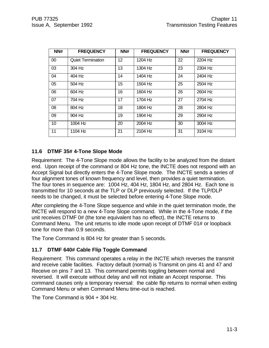| NN#    | <b>FREQUENCY</b>         | NN# | <b>FREQUENCY</b> | NN# | <b>FREQUENCY</b> |
|--------|--------------------------|-----|------------------|-----|------------------|
| $00\,$ | <b>Quiet Termination</b> | 12  | 1204 Hz          | 22  | 2204 Hz          |
| 03     | 304 Hz                   | 13  | 1304 Hz          | 23  | 2304 Hz          |
| 04     | 404 Hz                   | 14  | 1404 Hz          | 24  | 2404 Hz          |
| 05     | 504 Hz                   | 15  | 1504 Hz          | 25  | 2504 Hz          |
| 06     | 604 Hz                   | 16  | 1604 Hz          | 26  | 2604 Hz          |
| 07     | 704 Hz                   | 17  | 1704 Hz          | 27  | 2704 Hz          |
| 08     | 804 Hz                   | 18  | 1804 Hz          | 28  | 2804 Hz          |
| 09     | 904 Hz                   | 19  | 1904 Hz          | 29  | 2904 Hz          |
| 10     | 1004 Hz                  | 20  | 2004 Hz          | 30  | 3004 Hz          |
| 11     | 1104 Hz                  | 21  | 2104 Hz          | 31  | 3104 Hz          |

#### **11.6 DTMF 35# 4-Tone Slope Mode**

Requirement: The 4-Tone Slope mode allows the facility to be analyzed from the distant end. Upon receipt of the command or 804 Hz tone, the INCTE does not respond with an Accept Signal but directly enters the 4-Tone Slope mode. The INCTE sends a series of four alignment tones of known frequency and level, then provides a quiet termination. The four tones in sequence are: 1004 Hz, 404 Hz, 1804 Hz, and 2804 Hz. Each tone is transmitted for 10 seconds at the TLP or DLP previously selected. If the TLP/DLP needs to be changed, it must be selected before entering 4-Tone Slope mode.

After completing the 4-Tone Slope sequence and while in the quiet termination mode, the INCTE will respond to a new 4-Tone Slope command. While in the 4-Tone mode, if the unit receives DTMF 0# (the tone equivalent has no effect), the INCTE returns to Command Menu. The unit returns to idle mode upon receipt of DTMF 01# or loopback tone for more than 0.9 seconds.

The Tone Command is 804 Hz for greater than 5 seconds.

#### **11.7 DTMF 640# Cable Flip Toggle Command**

Requirement: This command operates a relay in the INCTE which reverses the transmit and receive cable facilities. Factory default (normal) is Transmit on pins 41 and 47 and Receive on pins 7 and 13. This command permits toggling between normal and reversed. It will execute without delay and will not initiate an Accept response. This command causes only a temporary reversal: the cable flip returns to normal when exiting Command Menu or when Command Menu time-out is reached.

The Tone Command is 904 + 304 Hz.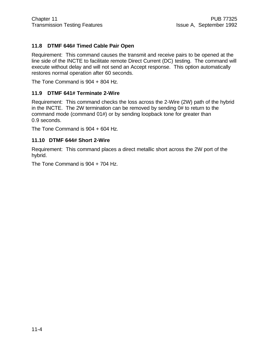## **11.8 DTMF 646# Timed Cable Pair Open**

Requirement: This command causes the transmit and receive pairs to be opened at the line side of the INCTE to facilitate remote Direct Current (DC) testing. The command will execute without delay and will not send an Accept response. This option automatically restores normal operation after 60 seconds.

The Tone Command is 904 + 804 Hz.

#### **11.9 DTMF 641# Terminate 2-Wire**

Requirement: This command checks the loss across the 2-Wire (2W) path of the hybrid in the INCTE. The 2W termination can be removed by sending 0# to return to the command mode (command 01#) or by sending loopback tone for greater than 0.9 seconds.

The Tone Command is 904 + 604 Hz.

#### **11.10 DTMF 644# Short 2-Wire**

Requirement: This command places a direct metallic short across the 2W port of the hybrid.

The Tone Command is 904 + 704 Hz.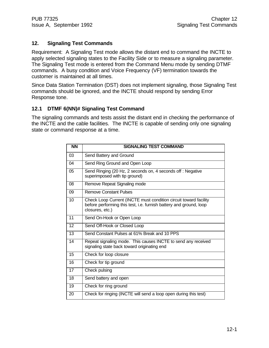## **12. Signaling Test Commands**

Requirement: A Signaling Test mode allows the distant end to command the INCTE to apply selected signaling states to the Facility Side or to measure a signaling parameter. The Signaling Test mode is entered from the Command Menu mode by sending DTMF commands. A busy condition and Voice Frequency (VF) termination towards the customer is maintained at all times.

Since Data Station Termination (DST) does not implement signaling, those Signaling Test commands should be ignored, and the INCTE should respond by sending Error Response tone.

## **12.1 DTMF 6(NN)# Signaling Test Command**

The signaling commands and tests assist the distant end in checking the performance of the INCTE and the cable facilities. The INCTE is capable of sending only one signaling state or command response at a time.

| <b>NN</b> | <b>SIGNALING TEST COMMAND</b>                                                                                                                             |
|-----------|-----------------------------------------------------------------------------------------------------------------------------------------------------------|
| 03        | Send Battery and Ground                                                                                                                                   |
| 04        | Send Ring Ground and Open Loop                                                                                                                            |
| 05        | Send Ringing (20 Hz, 2 seconds on, 4 seconds off: Negative<br>superimposed with tip ground)                                                               |
| 08        | Remove Repeat Signaling mode                                                                                                                              |
| 09        | <b>Remove Constant Pulses</b>                                                                                                                             |
| 10        | Check Loop Current (INCTE must condition circuit toward facility<br>before performing this test, i.e. furnish battery and ground, loop<br>closures, etc.) |
| 11        | Send On-Hook or Open Loop                                                                                                                                 |
| 12        | Send Off-Hook or Closed Loop                                                                                                                              |
| 13        | Send Constant Pulses at 61% Break and 10 PPS                                                                                                              |
| 14        | Repeat signaling mode. This causes INCTE to send any received<br>signaling state back toward originating end                                              |
| 15        | Check for loop closure                                                                                                                                    |
| 16        | Check for tip ground                                                                                                                                      |
| 17        | Check pulsing                                                                                                                                             |
| 18        | Send battery and open                                                                                                                                     |
| 19        | Check for ring ground                                                                                                                                     |
| 20        | Check for ringing (INCTE will send a loop open during this test)                                                                                          |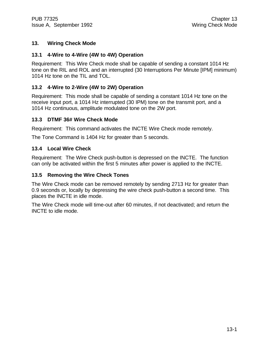## **13. Wiring Check Mode**

#### **13.1 4-Wire to 4-Wire (4W to 4W) Operation**

Requirement: This Wire Check mode shall be capable of sending a constant 1014 Hz tone on the RIL and ROL and an interrupted (30 Interruptions Per Minute [IPM] minimum) 1014 Hz tone on the TIL and TOL.

## **13.2 4-Wire to 2-Wire (4W to 2W) Operation**

Requirement: This mode shall be capable of sending a constant 1014 Hz tone on the receive input port, a 1014 Hz interrupted (30 IPM) tone on the transmit port, and a 1014 Hz continuous, amplitude modulated tone on the 2W port.

#### **13.3 DTMF 36# Wire Check Mode**

Requirement: This command activates the INCTE Wire Check mode remotely.

The Tone Command is 1404 Hz for greater than 5 seconds.

#### **13.4 Local Wire Check**

Requirement: The Wire Check push-button is depressed on the INCTE. The function can only be activated within the first 5 minutes after power is applied to the INCTE.

#### **13.5 Removing the Wire Check Tones**

The Wire Check mode can be removed remotely by sending 2713 Hz for greater than 0.9 seconds or, locally by depressing the wire check push-button a second time. This places the INCTE in idle mode.

The Wire Check mode will time-out after 60 minutes, if not deactivated; and return the INCTE to idle mode.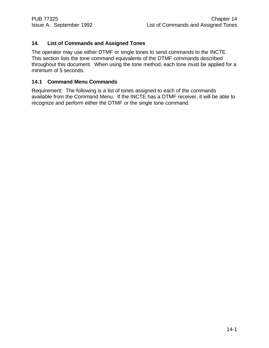## **14. List of Commands and Assigned Tones**

The operator may use either DTMF or single tones to send commands to the INCTE. This section lists the tone command equivalents of the DTMF commands described throughout this document. When using the tone method, each tone must be applied for a minimum of 5 seconds.

#### **14.1 Command Menu Commands**

Requirement: The following is a list of tones assigned to each of the commands available from the Command Menu. If the INCTE has a DTMF receiver, it will be able to recognize and perform either the DTMF or the single tone command.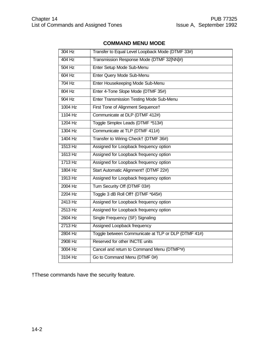## **COMMAND MENU MODE**

| 304 Hz    | Transfer to Equal Level Loopback Mode (DTMF 33#)    |
|-----------|-----------------------------------------------------|
| 404 Hz    | Transmission Response Mode (DTMF 32[NN]#)           |
| 504 Hz    | Enter Setup Mode Sub-Menu                           |
| $604$ Hz  | Enter Query Mode Sub-Menu                           |
| 704 Hz    | Enter Housekeeping Mode Sub-Menu                    |
| 804 Hz    | Enter 4-Tone Slope Mode (DTMF 35#)                  |
| 904 Hz    | Enter Transmission Testing Mode Sub-Menu            |
| $1004$ Hz | First Tone of Alignment Sequence†                   |
| 1104 Hz   | Communicate at DLP (DTMF 412#)                      |
| 1204 Hz   | Toggle Simplex Leads (DTMF *513#)                   |
| 1304 Hz   | Communicate at TLP (DTMF 411#)                      |
| 1404 Hz   | Transfer to Wiring Check† (DTMF 36#)                |
| 1513 Hz   | Assigned for Loopback frequency option              |
| 1613 Hz   | Assigned for Loopback frequency option              |
| 1713 Hz   | Assigned for Loopback frequency option              |
| 1804 Hz   | Start Automatic Alignment† (DTMF 22#)               |
| 1913 Hz   | Assigned for Loopback frequency option              |
| 2004 Hz   | Turn Security Off (DTMF 03#)                        |
| 2204 Hz   | Toggle 3 dB Roll Off† (DTMF *645#)                  |
| 2413 Hz   | Assigned for Loopback frequency option              |
| 2513 Hz   | Assigned for Loopback frequency option              |
| 2604 Hz   | Single Frequency (SF) Signaling                     |
| 2713 Hz   | Assigned Loopback frequency                         |
| 2804 Hz   | Toggle between Communicate at TLP or DLP (DTMF 41#) |
| 2908 Hz   | Reserved for other INCTE units                      |
| 3004 Hz   | Cancel and return to Command Menu (DTMF*#)          |
| 3104 Hz   | Go to Command Menu (DTMF 0#)                        |

†These commands have the security feature.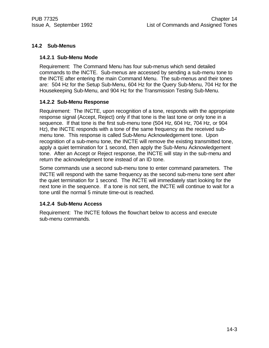## **14.2 Sub-Menus**

#### **14.2.1 Sub-Menu Mode**

Requirement: The Command Menu has four sub-menus which send detailed commands to the INCTE. Sub-menus are accessed by sending a sub-menu tone to the INCTE after entering the main Command Menu. The sub-menus and their tones are: 504 Hz for the Setup Sub-Menu, 604 Hz for the Query Sub-Menu, 704 Hz for the Housekeeping Sub-Menu, and 904 Hz for the Transmission Testing Sub-Menu.

#### **14.2.2 Sub-Menu Response**

Requirement: The INCTE, upon recognition of a tone, responds with the appropriate response signal (Accept, Reject) only if that tone is the last tone or only tone in a sequence. If that tone is the first sub-menu tone (504 Hz, 604 Hz, 704 Hz, or 904 Hz), the INCTE responds with a tone of the same frequency as the received submenu tone. This response is called Sub-Menu Acknowledgement tone. Upon recognition of a sub-menu tone, the INCTE will remove the existing transmitted tone, apply a quiet termination for 1 second, then apply the Sub-Menu Acknowledgement tone. After an Accept or Reject response, the INCTE will stay in the sub-menu and return the acknowledgment tone instead of an ID tone.

Some commands use a second sub-menu tone to enter command parameters. The INCTE will respond with the same frequency as the second sub-menu tone sent after the quiet termination for 1 second. The INCTE will immediately start looking for the next tone in the sequence. If a tone is not sent, the INCTE will continue to wait for a tone until the normal 5 minute time-out is reached.

#### **14.2.4 Sub-Menu Access**

Requirement: The INCTE follows the flowchart below to access and execute sub-menu commands.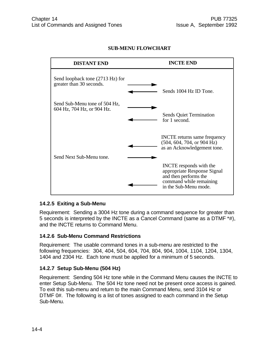## **SUB-MENU FLOWCHART**



#### **14.2.5 Exiting a Sub-Menu**

Requirement: Sending a 3004 Hz tone during a command sequence for greater than 5 seconds is interpreted by the INCTE as a Cancel Command (same as a DTMF \*#), and the INCTE returns to Command Menu.

#### **14.2.6 Sub-Menu Command Restrictions**

Requirement: The usable command tones in a sub-menu are restricted to the following frequencies: 304, 404, 504, 604, 704, 804, 904, 1004, 1104, 1204, 1304, 1404 and 2304 Hz. Each tone must be applied for a minimum of 5 seconds.

#### **14.2.7 Setup Sub-Menu (504 Hz)**

Requirement: Sending 504 Hz tone while in the Command Menu causes the INCTE to enter Setup Sub-Menu. The 504 Hz tone need not be present once access is gained. To exit this sub-menu and return to the main Command Menu, send 3104 Hz or DTMF 0#. The following is a list of tones assigned to each command in the Setup Sub-Menu.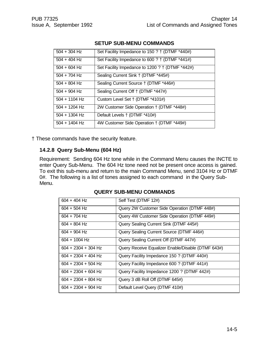| $504 + 304$ Hz  | Set Facility Impedance to 150 ? † (DTMF *440#)  |
|-----------------|-------------------------------------------------|
| $504 + 404$ Hz  | Set Facility Impedance to 600 ? † (DTMF *441#)  |
| $504 + 604$ Hz  | Set Facility Impedance to 1200 ? † (DTMF *442#) |
| $504 + 704$ Hz  | Sealing Current Sink † (DTMF *445#)             |
| $504 + 804$ Hz  | Sealing Current Source † (DTMF *446#)           |
| $504 + 904$ Hz  | Sealing Current Off † (DTMF *447#)              |
| $504 + 1104$ Hz | Custom Level Set † (DTMF *4101#)                |
| $504 + 1204$ Hz | 2W Customer Side Operation † (DTMF *448#)       |
| $504 + 1304$ Hz | Default Levels † (DTMF *410#)                   |
| $504 + 1404$ Hz | 4W Customer Side Operation † (DTMF *449#)       |

#### **SETUP SUB-MENU COMMANDS**

† These commands have the security feature.

#### **14.2.8 Query Sub-Menu (604 Hz)**

Requirement: Sending 604 Hz tone while in the Command Menu causes the INCTE to enter Query Sub-Menu. The 604 Hz tone need not be present once access is gained. To exit this sub-menu and return to the main Command Menu, send 3104 Hz or DTMF 0#. The following is a list of tones assigned to each command in the Query Sub-Menu.

| $604 + 404$ Hz        | Self Test (DTMF 12#)                               |
|-----------------------|----------------------------------------------------|
| $604 + 504$ Hz        | Query 2W Customer Side Operation (DTMF 448#)       |
| $604 + 704$ Hz        | Query 4W Customer Side Operation (DTMF 449#)       |
| $604 + 804$ Hz        | Query Sealing Current Sink (DTMF 445#)             |
| $604 + 904$ Hz        | Query Sealing Current Source (DTMF 446#)           |
| $604 + 1004$ Hz       | Query Sealing Current Off (DTMF 447#)              |
| $604 + 2304 + 304$ Hz | Query Receive Equalizer Enable/Disable (DTMF 643#) |
| $604 + 2304 + 404$ Hz | Query Facility Impedance 150 ? (DTMF 440#)         |
| $604 + 2304 + 504$ Hz | Query Facility Impedance 600 ? (DTMF 441#)         |
| $604 + 2304 + 604$ Hz | Query Facility Impedance 1200 ? (DTMF 442#)        |
| $604 + 2304 + 804$ Hz | Query 3 dB Roll Off (DTMF 645#)                    |
| $604 + 2304 + 904$ Hz | Default Level Query (DTMF 410#)                    |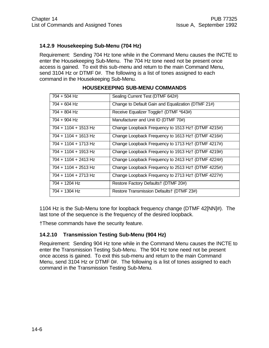## **14.2.9 Housekeeping Sub-Menu (704 Hz)**

Requirement: Sending 704 Hz tone while in the Command Menu causes the INCTE to enter the Housekeeping Sub-Menu. The 704 Hz tone need not be present once access is gained. To exit this sub-menu and return to the main Command Menu, send 3104 Hz or DTMF 0#. The following is a list of tones assigned to each command in the Housekeeping Sub-Menu.

| $704 + 504$ Hz         | Sealing Current Test (DTMF 642#)                    |
|------------------------|-----------------------------------------------------|
| 704 + 604 Hz           | Change to Default Gain and Equalization (DTMF 21#)  |
| $704 + 804$ Hz         | Receive Equalizer Toggle† (DTMF *643#)              |
| $704 + 904$ Hz         | Manufacturer and Unit ID (DTMF 70#)                 |
| 704 + 1104 + 1513 Hz   | Change Loopback Frequency to 1513 Hz† (DTMF 4215#)  |
| 704 + 1104 + 1613 Hz   | Change Loopback Frequency to 1613 Hz† (DTMF 4216#)  |
| 704 + 1104 + 1713 Hz   | Change Loopback Frequency to 1713 Hz† (DTMF 4217#)  |
| 704 + 1104 + 1913 Hz   | Change Loopback Frequency to 1913 Hz† (DTMF 4219#)  |
| 704 + 1104 + 2413 Hz   | Change Loopback Frequency to 2413 Hz + (DTMF 4224#) |
| $704 + 1104 + 2513$ Hz | Change Loopback Frequency to 2513 Hz† (DTMF 4225#)  |
| 704 + 1104 + 2713 Hz   | Change Loopback Frequency to 2713 Hz† (DTMF 4227#)  |
| 704 + 1204 Hz          | Restore Factory Defaults† (DTMF 20#)                |
| 704 + 1304 Hz          | Restore Transmission Defaults† (DTMF 23#)           |

## **HOUSEKEEPING SUB-MENU COMMANDS**

1104 Hz is the Sub-Menu tone for loopback frequency change (DTMF 42[NN]#). The last tone of the sequence is the frequency of the desired loopback.

†These commands have the security feature.

#### **14.2.10 Transmission Testing Sub-Menu (904 Hz)**

Requirement: Sending 904 Hz tone while in the Command Menu causes the INCTE to enter the Transmission Testing Sub-Menu. The 904 Hz tone need not be present once access is gained. To exit this sub-menu and return to the main Command Menu, send 3104 Hz or DTMF 0#. The following is a list of tones assigned to each command in the Transmission Testing Sub-Menu.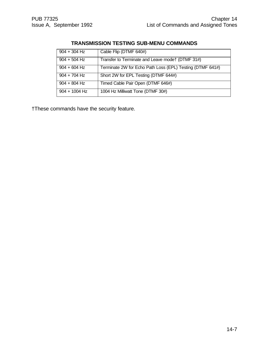## **TRANSMISSION TESTING SUB-MENU COMMANDS**

| $904 + 304$ Hz  | Cable Flip (DTMF 640#)                                    |
|-----------------|-----------------------------------------------------------|
| $904 + 504$ Hz  | Transfer to Terminate and Leave modet (DTMF 31#)          |
| $904 + 604$ Hz  | Terminate 2W for Echo Path Loss (EPL) Testing (DTMF 641#) |
| $904 + 704$ Hz  | Short 2W for EPL Testing (DTMF 644#)                      |
| $904 + 804$ Hz  | Timed Cable Pair Open (DTMF 646#)                         |
| $904 + 1004$ Hz | 1004 Hz Milliwatt Tone (DTMF 30#)                         |

†These commands have the security feature.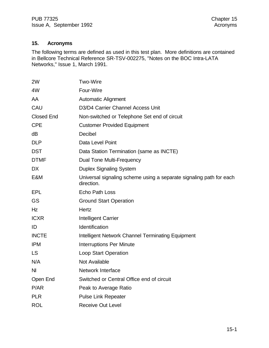## **15. Acronyms**

The following terms are defined as used in this test plan. More definitions are contained in Bellcore Technical Reference SR-TSV-002275, "Notes on the BOC Intra-LATA Networks," Issue 1, March 1991.

| <b>Two-Wire</b>                                                                   |
|-----------------------------------------------------------------------------------|
| Four-Wire                                                                         |
| <b>Automatic Alignment</b>                                                        |
| D3/D4 Carrier Channel Access Unit                                                 |
| Non-switched or Telephone Set end of circuit                                      |
| <b>Customer Provided Equipment</b>                                                |
| <b>Decibel</b>                                                                    |
| Data Level Point                                                                  |
| Data Station Termination (same as INCTE)                                          |
| Dual Tone Multi-Frequency                                                         |
| <b>Duplex Signaling System</b>                                                    |
| Universal signaling scheme using a separate signaling path for each<br>direction. |
| <b>Echo Path Loss</b>                                                             |
| <b>Ground Start Operation</b>                                                     |
| Hertz                                                                             |
| Intelligent Carrier                                                               |
| Identification                                                                    |
| Intelligent Network Channel Terminating Equipment                                 |
| <b>Interruptions Per Minute</b>                                                   |
| <b>Loop Start Operation</b>                                                       |
| <b>Not Available</b>                                                              |
| <b>Network Interface</b>                                                          |
| Switched or Central Office end of circuit                                         |
| Peak to Average Ratio                                                             |
| <b>Pulse Link Repeater</b>                                                        |
| <b>Receive Out Level</b>                                                          |
|                                                                                   |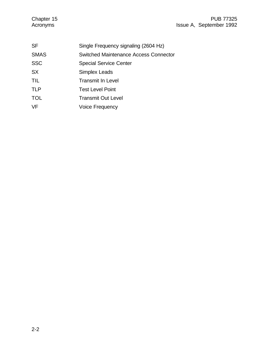| <b>SF</b>   | Single Frequency signaling (2604 Hz)  |
|-------------|---------------------------------------|
| <b>SMAS</b> | Switched Maintenance Access Connector |
| <b>SSC</b>  | <b>Special Service Center</b>         |
| <b>SX</b>   | Simplex Leads                         |
| <b>TIL</b>  | <b>Transmit In Level</b>              |
| <b>TLP</b>  | <b>Test Level Point</b>               |
| <b>TOL</b>  | <b>Transmit Out Level</b>             |
| VF          | <b>Voice Frequency</b>                |